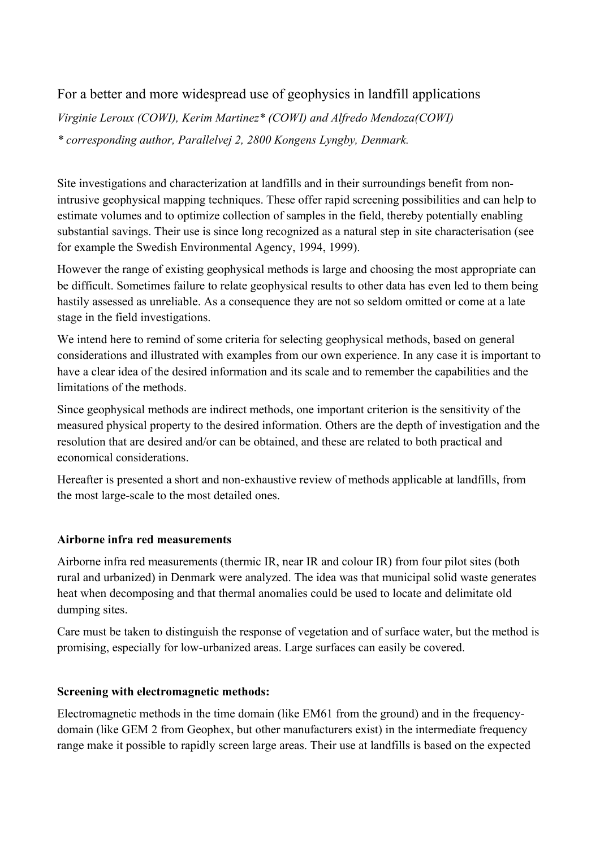# For a better and more widespread use of geophysics in landfill applications

*Virginie Leroux (COWI), Kerim Martinez\* (COWI) and Alfredo Mendoza(COWI) \* corresponding author, Parallelvej 2, 2800 Kongens Lyngby, Denmark.* 

Site investigations and characterization at landfills and in their surroundings benefit from nonintrusive geophysical mapping techniques. These offer rapid screening possibilities and can help to estimate volumes and to optimize collection of samples in the field, thereby potentially enabling substantial savings. Their use is since long recognized as a natural step in site characterisation (see for example the Swedish Environmental Agency, 1994, 1999).

However the range of existing geophysical methods is large and choosing the most appropriate can be difficult. Sometimes failure to relate geophysical results to other data has even led to them being hastily assessed as unreliable. As a consequence they are not so seldom omitted or come at a late stage in the field investigations.

We intend here to remind of some criteria for selecting geophysical methods, based on general considerations and illustrated with examples from our own experience. In any case it is important to have a clear idea of the desired information and its scale and to remember the capabilities and the limitations of the methods.

Since geophysical methods are indirect methods, one important criterion is the sensitivity of the measured physical property to the desired information. Others are the depth of investigation and the resolution that are desired and/or can be obtained, and these are related to both practical and economical considerations.

Hereafter is presented a short and non-exhaustive review of methods applicable at landfills, from the most large-scale to the most detailed ones.

# **Airborne infra red measurements**

Airborne infra red measurements (thermic IR, near IR and colour IR) from four pilot sites (both rural and urbanized) in Denmark were analyzed. The idea was that municipal solid waste generates heat when decomposing and that thermal anomalies could be used to locate and delimitate old dumping sites.

Care must be taken to distinguish the response of vegetation and of surface water, but the method is promising, especially for low-urbanized areas. Large surfaces can easily be covered.

# **Screening with electromagnetic methods:**

Electromagnetic methods in the time domain (like EM61 from the ground) and in the frequencydomain (like GEM 2 from Geophex, but other manufacturers exist) in the intermediate frequency range make it possible to rapidly screen large areas. Their use at landfills is based on the expected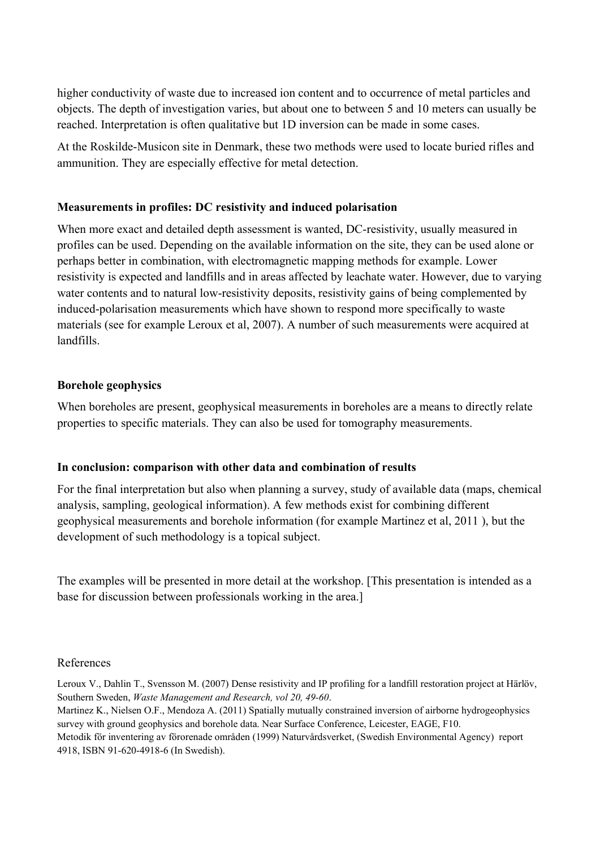higher conductivity of waste due to increased ion content and to occurrence of metal particles and objects. The depth of investigation varies, but about one to between 5 and 10 meters can usually be reached. Interpretation is often qualitative but 1D inversion can be made in some cases.

At the Roskilde-Musicon site in Denmark, these two methods were used to locate buried rifles and ammunition. They are especially effective for metal detection.

# **Measurements in profiles: DC resistivity and induced polarisation**

When more exact and detailed depth assessment is wanted, DC-resistivity, usually measured in profiles can be used. Depending on the available information on the site, they can be used alone or perhaps better in combination, with electromagnetic mapping methods for example. Lower resistivity is expected and landfills and in areas affected by leachate water. However, due to varying water contents and to natural low-resistivity deposits, resistivity gains of being complemented by induced-polarisation measurements which have shown to respond more specifically to waste materials (see for example Leroux et al, 2007). A number of such measurements were acquired at landfills.

# **Borehole geophysics**

When boreholes are present, geophysical measurements in boreholes are a means to directly relate properties to specific materials. They can also be used for tomography measurements.

# **In conclusion: comparison with other data and combination of results**

For the final interpretation but also when planning a survey, study of available data (maps, chemical analysis, sampling, geological information). A few methods exist for combining different geophysical measurements and borehole information (for example Martinez et al, 2011 ), but the development of such methodology is a topical subject.

The examples will be presented in more detail at the workshop. [This presentation is intended as a base for discussion between professionals working in the area.]

# References

Leroux V., Dahlin T., Svensson M. (2007) Dense resistivity and IP profiling for a landfill restoration project at Härlöv, Southern Sweden, *Waste Management and Research, vol 20, 49-60*.

Martinez K., Nielsen O.F., Mendoza A. (2011) Spatially mutually constrained inversion of airborne hydrogeophysics survey with ground geophysics and borehole data. Near Surface Conference, Leicester, EAGE, F10. Metodik för inventering av förorenade områden (1999) Naturvårdsverket, (Swedish Environmental Agency) report 4918, ISBN 91-620-4918-6 (In Swedish).